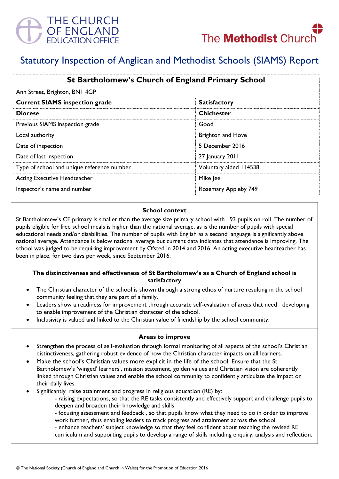



# Statutory Inspection of Anglican and Methodist Schools (SIAMS) Report

| St Bartholomew's Church of England Primary School |                          |
|---------------------------------------------------|--------------------------|
| Ann Street, Brighton, BN1 4GP                     |                          |
| <b>Current SIAMS inspection grade</b>             | <b>Satisfactory</b>      |
| <b>Diocese</b>                                    | <b>Chichester</b>        |
| Previous SIAMS inspection grade                   | Good                     |
| Local authority                                   | <b>Brighton and Hove</b> |
| Date of inspection                                | 5 December 2016          |
| Date of last inspection                           | 27 January 2011          |
| Type of school and unique reference number        | Voluntary aided 114538   |
| <b>Acting Executive Headteacher</b>               | Mike Jee                 |
| Inspector's name and number                       | Rosemary Appleby 749     |

#### **School context**

St Bartholomew's CE primary is smaller than the average size primary school with 193 pupils on roll. The number of pupils eligible for free school meals is higher than the national average, as is the number of pupils with special educational needs and/or disabilities. The number of pupils with English as a second language is significantly above national average. Attendance is below national average but current data indicates that attendance is improving. The school was judged to be requiring improvement by Ofsted in 2014 and 2016. An acting executive headteacher has been in place, for two days per week, since September 2016.

## **The distinctiveness and effectiveness of St Bartholomew's as a Church of England school is satisfactory**

- The Christian character of the school is shown through a strong ethos of nurture resulting in the school community feeling that they are part of a family.
- Leaders show a readiness for improvement through accurate self-evaluation of areas that need developing to enable improvement of the Christian character of the school.
- Inclusivity is valued and linked to the Christian value of friendship by the school community.

#### **Areas to improve**

- Strengthen the process of self-evaluation through formal monitoring of all aspects of the school's Christian distinctiveness, gathering robust evidence of how the Christian character impacts on all learners.
- Make the school's Christian values more explicit in the life of the school. Ensure that the St Bartholomew's 'winged' learners', mission statement, golden values and Christian vision are coherently linked through Christian values and enable the school community to confidently articulate the impact on their daily lives.
- Significantly raise attainment and progress in religious education (RE) by:
	- raising expectations, so that the RE tasks consistently and effectively support and challenge pupils to deepen and broaden their knowledge and skills
	- focusing assessment and feedback , so that pupils know what they need to do in order to improve work further, thus enabling leaders to track progress and attainment across the school.
	- enhance teachers' subject knowledge so that they feel confident about teaching the revised RE curriculum and supporting pupils to develop a range of skills including enquiry, analysis and reflection.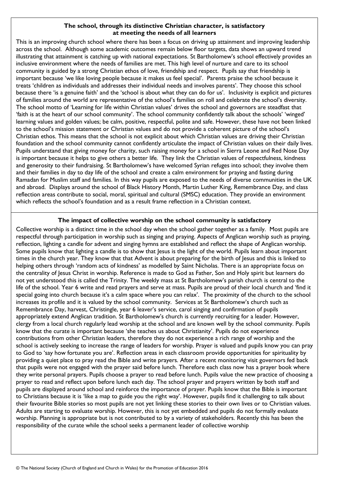## **The school, through its distinctive Christian character, is satisfactory at meeting the needs of all learners**

This is an improving church school where there has been a focus on driving up attainment and improving leadership across the school. Although some academic outcomes remain below floor targets, data shows an upward trend illustrating that attainment is catching up with national expectations. St Bartholomew's school effectively provides an inclusive environment where the needs of families are met. This high level of nurture and care to its school community is guided by a strong Christian ethos of love, friendship and respect. Pupils say that friendship is important because 'we like loving people because it makes us feel special'. Parents praise the school because it treats 'children as individuals and addresses their individual needs and involves parents'. They choose this school because there 'is a genuine faith' and the 'school is about what they can do for us'. Inclusivity is explicit and pictures of families around the world are representative of the school's families on roll and celebrate the school's diversity. The school motto of 'Learning for life within Christian values' drives the school and governors are steadfast that 'faith is at the heart of our school community'. The school community confidently talk about the schools' 'winged' learning values and golden values; be calm, positive, respectful, polite and safe. However, these have not been linked to the school's mission statement or Christian values and do not provide a coherent picture of the school's Christian ethos. This means that the school is not explicit about which Christian values are driving their Christian foundation and the school community cannot confidently articulate the impact of Christian values on their daily lives. Pupils understand that giving money for charity, such raising money for a school in Sierra Leone and Red Nose Day is important because it helps to give others a better life*.* They link the Christian values of respectfulness, kindness and generosity to their fundraising. St Bartholomew's have welcomed Syrian refuges into school; they involve them and their families in day to day life of the school and create a calm environment for praying and fasting during Ramadan for Muslim staff and families. In this way pupils are exposed to the needs of diverse communities in the UK and abroad. Displays around the school of Black History Month, Martin Luther King, Remembrance Day, and class reflection areas contribute to social, moral, spiritual and cultural (SMSC) education. They provide an environment which reflects the school's foundation and as a result frame reflection in a Christian context.

## **The impact of collective worship on the school community is satisfactory**

Collective worship is a distinct time in the school day when the school gather together as a family. Most pupils are respectful through participation in worship such as singing and praying. Aspects of Anglican worship such as praying, reflection, lighting a candle for advent and singing hymns are established and reflect the shape of Anglican worship. Some pupils know that lighting a candle is to show that Jesus is the light of the world. Pupils learn about important times in the church year. They know that that Advent is about preparing for the birth of Jesus and this is linked to helping others through 'random acts of kindness' as modelled by Saint Nicholas. There is an appropriate focus on the centrality of Jesus Christ in worship. Reference is made to God as Father, Son and Holy spirit but learners do not yet understood this is called the Trinity. The weekly mass at St Bartholomew's parish church is central to the life of the school. Year 6 write and read prayers and serve at mass. Pupils are proud of their local church and 'find it special going into church because it's a calm space where you can relax'. The proximity of the church to the school increases its profile and it is valued by the school community. Services at St Bartholomew's church such as Remembrance Day, harvest, Christingle, year 6 leaver's service, carol singing and confirmation of pupils appropriately extend Anglican tradition. St Bartholomew's church is currently recruiting for a leader. However, clergy from a local church regularly lead worship at the school and are known well by the school community. Pupils know that the curate is important because 'she teaches us about Christianity'. Pupils do not experience contributions from other Christian leaders, therefore they do not experience a rich range of worship and the school is actively seeking to increase the range of leaders for worship. Prayer is valued and pupils know you can pray to God to 'say how fortunate you are'. Reflection areas in each classroom provide opportunities for spirituality by providing a quiet place to pray read the Bible and write prayers. After a recent monitoring visit governors fed back that pupils were not engaged with the prayer said before lunch. Therefore each class now has a prayer book where they write personal prayers. Pupils choose a prayer to read before lunch. Pupils value the new practice of choosing a prayer to read and reflect upon before lunch each day. The school prayer and prayers written by both staff and pupils are displayed around school and reinforce the importance of prayer. Pupils know that the Bible is important to Christians because it is 'like a map to guide you the right way'. However, pupils find it challenging to talk about their favourite Bible stories so most pupils are not yet linking these stories to their own lives or to Christian values. Adults are starting to evaluate worship. However, this is not yet embedded and pupils do not formally evaluate worship. Planning is appropriate but is not contributed to by a variety of stakeholders. Recently this has been the responsibility of the curate while the school seeks a permanent leader of collective worship